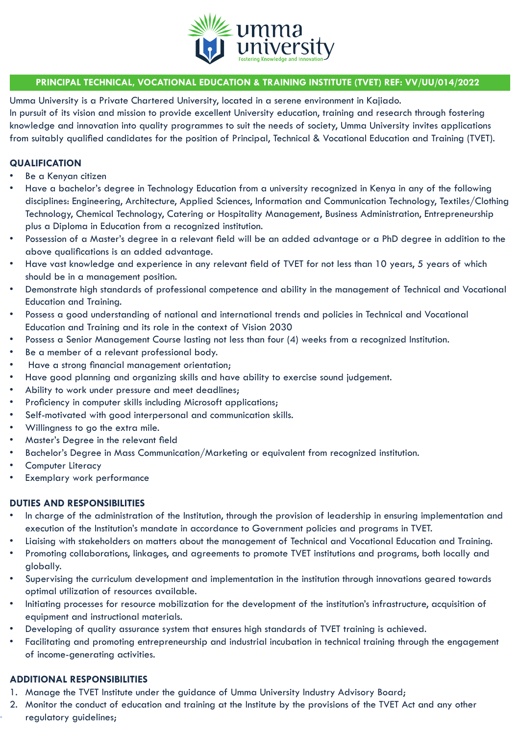

### **PRINCIPAL TECHNICAL, VOCATIONAL EDUCATION & TRAINING INSTITUTE (TVET) REF: VV/UU/014/2022**

Umma University is a Private Chartered University, located in a serene environment in Kajiado. In pursuit of its vision and mission to provide excellent University education, training and research through fostering knowledge and innovation into quality programmes to suit the needs of society, Umma University invites applications from suitably qualified candidates for the position of Principal, Technical & Vocational Education and Training (TVET).

### **QUALIFICATION**

- Be a Kenyan citizen
- Have a bachelor's degree in Technology Education from a university recognized in Kenya in any of the following disciplines: Engineering, Architecture, Applied Sciences, Information and Communication Technology, Textiles/Clothing Technology, Chemical Technology, Catering or Hospitality Management, Business Administration, Entrepreneurship plus a Diploma in Education from a recognized institution.
- Possession of a Master's degree in a relevant field will be an added advantage or a PhD degree in addition to the above qualifications is an added advantage.
- Have vast knowledge and experience in any relevant field of TVET for not less than 10 years, 5 years of which should be in a management position.
- Demonstrate high standards of professional competence and ability in the management of Technical and Vocational Education and Training.
- Possess a good understanding of national and international trends and policies in Technical and Vocational Education and Training and its role in the context of Vision 2030
- Possess a Senior Management Course lasting not less than four (4) weeks from a recognized Institution.
- Be a member of a relevant professional body.
- Have a strong financial management orientation;
- Have good planning and organizing skills and have ability to exercise sound judgement.
- Ability to work under pressure and meet deadlines;
- Proficiency in computer skills including Microsoft applications;
- Self-motivated with good interpersonal and communication skills.
- Willingness to go the extra mile.
- Master's Degree in the relevant field
- Bachelor's Degree in Mass Communication/Marketing or equivalent from recognized institution.
- Computer Literacy
- Exemplary work performance

### **DUTIES AND RESPONSIBILITIES**

- In charge of the administration of the Institution, through the provision of leadership in ensuring implementation and execution of the Institution's mandate in accordance to Government policies and programs in TVET.
- Liaising with stakeholders on matters about the management of Technical and Vocational Education and Training.
- Promoting collaborations, linkages, and agreements to promote TVET institutions and programs, both locally and globally.
- Supervising the curriculum development and implementation in the institution through innovations geared towards optimal utilization of resources available.
- Initiating processes for resource mobilization for the development of the institution's infrastructure, acquisition of equipment and instructional materials.
- Developing of quality assurance system that ensures high standards of TVET training is achieved.
- Facilitating and promoting entrepreneurship and industrial incubation in technical training through the engagement of income-generating activities.

### **ADDITIONAL RESPONSIBILITIES**

- 1. Manage the TVET Institute under the guidance of Umma University Industry Advisory Board;
- 2. Monitor the conduct of education and training at the Institute by the provisions of the TVET Act and any other regulatory guidelines;